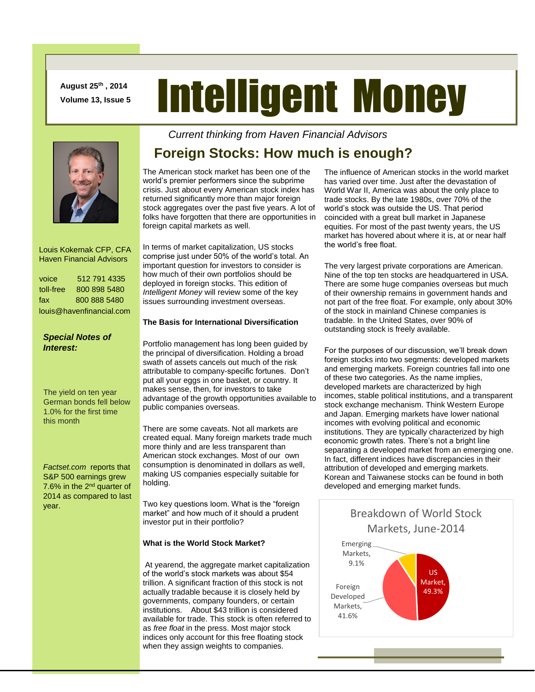**August 25th , 2014 Volume 13, Issue 5**

# Intelligent Money



 Louis Kokernak CFP, CFA Haven Financial Advisors

| voice                    | 512 791 4335 |
|--------------------------|--------------|
| toll-free                | 800 898 5480 |
| fax                      | 800 888 5480 |
| louis@havenfinancial.com |              |

## *Special Notes of Interest:*

The yield on ten year German bonds fell below 1.0% for the first time this month

*Factset.com* reports that S&P 500 earnings grew 7.6% in the 2nd quarter of 2014 as compared to last year.

*Current thinking from Haven Financial Advisors* 

## **Foreign Stocks: How much is enough?**

The American stock market has been one of the world's premier performers since the subprime crisis. Just about every American stock index has returned significantly more than major foreign stock aggregates over the past five years. A lot of folks have forgotten that there are opportunities in foreign capital markets as well.

In terms of market capitalization, US stocks comprise just under 50% of the world's total. An important question for investors to consider is how much of their own portfolios should be deployed in foreign stocks. This edition of *Intelligent Money* will review some of the key issues surrounding investment overseas.

## **The Basis for International Diversification**

Portfolio management has long been guided by the principal of diversification. Holding a broad swath of assets cancels out much of the risk attributable to company-specific fortunes. Don't put all your eggs in one basket, or country. It makes sense, then, for investors to take advantage of the growth opportunities available to public companies overseas.

There are some caveats. Not all markets are created equal. Many foreign markets trade much more thinly and are less transparent than American stock exchanges. Most of our own consumption is denominated in dollars as well, making US companies especially suitable for holding.

Two key questions loom. What is the "foreign market" and how much of it should a prudent investor put in their portfolio?

## **What is the World Stock Market?**

At yearend, the aggregate market capitalization of the world's stock markets was about \$54 trillion. A significant fraction of this stock is not actually tradable because it is closely held by governments, company founders, or certain institutions. About \$43 trillion is considered available for trade. This stock is often referred to as *free float* in the press. Most major stock indices only account for this free floating stock when they assign weights to companies.

The influence of American stocks in the world market has varied over time. Just after the devastation of World War II, America was about the only place to trade stocks. By the late 1980s, over 70% of the world's stock was outside the US. That period coincided with a great bull market in Japanese equities. For most of the past twenty years, the US market has hovered about where it is, at or near half the world's free float.

The very largest private corporations are American. Nine of the top ten stocks are headquartered in USA. There are some huge companies overseas but much of their ownership remains in government hands and not part of the free float. For example, only about 30% of the stock in mainland Chinese companies is tradable. In the United States, over 90% of outstanding stock is freely available.

For the purposes of our discussion, we'll break down foreign stocks into two segments: developed markets and emerging markets. Foreign countries fall into one of these two categories. As the name implies, developed markets are characterized by high incomes, stable political institutions, and a transparent stock exchange mechanism. Think Western Europe and Japan. Emerging markets have lower national incomes with evolving political and economic institutions. They are typically characterized by high economic growth rates. There's not a bright line separating a developed market from an emerging one. In fact, different indices have discrepancies in their attribution of developed and emerging markets. Korean and Taiwanese stocks can be found in both developed and emerging market funds.

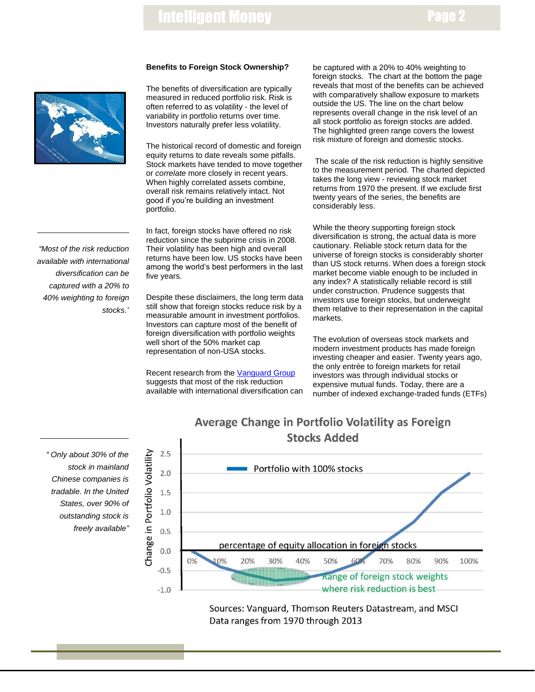# Intelligent Money

## Page 2



*"Most of the risk reduction available with international diversification can be captured with a 20% to 40% weighting to foreign stocks."*

### **Benefits to Foreign Stock Ownership?**

The benefits of diversification are typically measured in reduced portfolio risk. Risk is often referred to as volatility - the level of variability in portfolio returns over time. Investors naturally prefer less volatility.

The historical record of domestic and foreign equity returns to date reveals some pitfalls. Stock markets have tended to move together or *correlate* more closely in recent years. When highly correlated assets combine, overall risk remains relatively intact. Not good if you're building an investment portfolio.

In fact, foreign stocks have offered no risk reduction since the subprime crisis in 2008. Their volatility has been high and overall returns have been low. US stocks have been among the world's best performers in the last five years.

Despite these disclaimers, the long term data still show that foreign stocks reduce risk by a measurable amount in investment portfolios. Investors can capture most of the benefit of foreign diversification with portfolio weights well short of the 50% market cap representation of non-USA stocks.

Recent research from the [Vanguard Group](https://personal.vanguard.com/pdf/ISGGEB.pdf) suggests that most of the risk reduction available with international diversification can be captured with a 20% to 40% weighting to foreign stocks. The chart at the bottom the page reveals that most of the benefits can be achieved with comparatively shallow exposure to markets outside the US. The line on the chart below represents overall change in the risk level of an all stock portfolio as foreign stocks are added. The highlighted green range covers the lowest risk mixture of foreign and domestic stocks.

The scale of the risk reduction is highly sensitive to the measurement period. The charted depicted takes the long view - reviewing stock market returns from 1970 the present. If we exclude first twenty years of the series, the benefits are considerably less.

While the theory supporting foreign stock diversification is strong, the actual data is more cautionary. Reliable stock return data for the universe of foreign stocks is considerably shorter than US stock returns. When does a foreign stock market become viable enough to be included in any index? A statistically reliable record is still under construction. Prudence suggests that investors use foreign stocks, but underweight them relative to their representation in the capital markets.

The evolution of overseas stock markets and modern investment products has made foreign investing cheaper and easier. Twenty years ago, the only entrée to foreign markets for retail investors was through individual stocks or expensive mutual funds. Today, there are a number of indexed exchange-traded funds (ETFs)

## *" Only about 30% of the stock in mainland Chinese companies is tradable. In the United States, over 90% of outstanding stock is freely available"*



Sources: Vanguard, Thomson Reuters Datastream, and MSCI Data ranges from 1970 through 2013